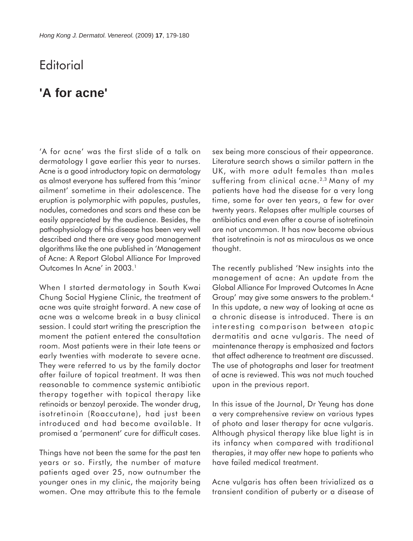## **Editorial**

## **'A for acne'**

'A for acne' was the first slide of a talk on dermatology I gave earlier this year to nurses. Acne is a good introductory topic on dermatology as almost everyone has suffered from this 'minor ailment' sometime in their adolescence. The eruption is polymorphic with papules, pustules, nodules, comedones and scars and these can be easily appreciated by the audience. Besides, the pathophysiology of this disease has been very well described and there are very good management algorithms like the one published in 'Management of Acne: A Report Global Alliance For Improved Outcomes In Acne' in 2003.<sup>1</sup>

When I started dermatology in South Kwai Chung Social Hygiene Clinic, the treatment of acne was quite straight forward. A new case of acne was a welcome break in a busy clinical session. I could start writing the prescription the moment the patient entered the consultation room. Most patients were in their late teens or early twenties with moderate to severe acne. They were referred to us by the family doctor after failure of topical treatment. It was then reasonable to commence systemic antibiotic therapy together with topical therapy like retinoids or benzoyl peroxide. The wonder drug, isotretinoin (Roaccutane), had just been introduced and had become available. It promised a 'permanent' cure for difficult cases.

Things have not been the same for the past ten years or so. Firstly, the number of mature patients aged over 25, now outnumber the younger ones in my clinic, the majority being women. One may attribute this to the female sex being more conscious of their appearance. Literature search shows a similar pattern in the UK, with more adult females than males suffering from clinical acne.<sup>2,3</sup> Many of my patients have had the disease for a very long time, some for over ten years, a few for over twenty years. Relapses after multiple courses of antibiotics and even after a course of isotretinoin are not uncommon. It has now become obvious that isotretinoin is not as miraculous as we once thought.

The recently published 'New insights into the management of acne: An update from the Global Alliance For Improved Outcomes In Acne Group' may give some answers to the problem.4 In this update, a new way of looking at acne as a chronic disease is introduced. There is an interesting comparison between atopic dermatitis and acne vulgaris. The need of maintenance therapy is emphasized and factors that affect adherence to treatment are discussed. The use of photographs and laser for treatment of acne is reviewed. This was not much touched upon in the previous report.

In this issue of the Journal, Dr Yeung has done a very comprehensive review on various types of photo and laser therapy for acne vulgaris. Although physical therapy like blue light is in its infancy when compared with traditional therapies, it may offer new hope to patients who have failed medical treatment.

Acne vulgaris has often been trivialized as a transient condition of puberty or a disease of